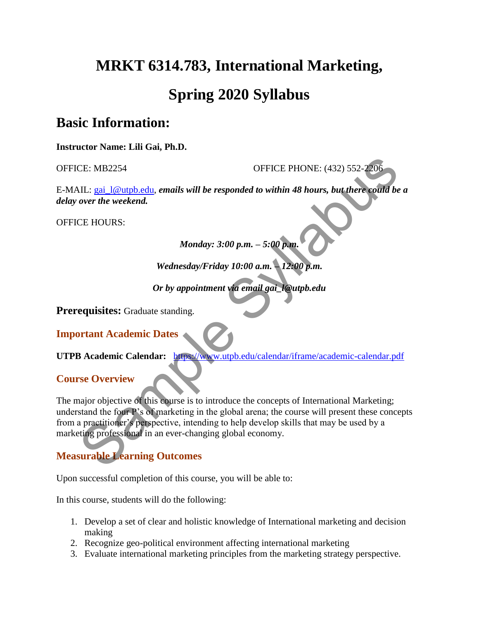# **MRKT 6314.783, International Marketing, Spring 2020 Syllabus**

### **Basic Information:**

**Instructor Name: Lili Gai, Ph.D.**

OFFICE: MB2254 OFFICE PHONE: (432) 552-2206

E-MAIL: gai\_l@utpb.edu, *emails will be responded to within 48 hours, but there could be a delay over the weekend.*

OFFICE HOURS:

*Monday: 3:00 p.m. – 5:00 p.m.* 

*Wednesday/Friday 10:00 a.m. – 12:00 p.m.* 

*Or by appointment via email gai\_l@utpb.edu* 

**Prerequisites:** Graduate standing.

**Important Academic Dates**

**UTPB Academic Calendar:** https://www.utpb.edu/calendar/iframe/academic-calendar.pdf

**Course Overview**

The major objective of this course is to introduce the concepts of International Marketing; understand the four P's of marketing in the global arena; the course will present these concepts from a practitioner's perspective, intending to help develop skills that may be used by a marketing professional in an ever-changing global economy. CE: MB2254<br>
OFFICE PHONE: (432) 552-2206<br>
ML: <u>gai 1@utph.edu</u>, emails will be responded to within 48 hours, but there could be<br>
over the weekend.<br>
CE HOURS:<br>
Monday: 3:00 p.m. - 5:00 p.m.<br>
Wednesday/Friday 10:00 a.m. 12:

#### **Measurable Learning Outcomes**

Upon successful completion of this course, you will be able to:

In this course, students will do the following:

- 1. Develop a set of clear and holistic knowledge of International marketing and decision making
- 2. Recognize geo-political environment affecting international marketing
- 3. Evaluate international marketing principles from the marketing strategy perspective.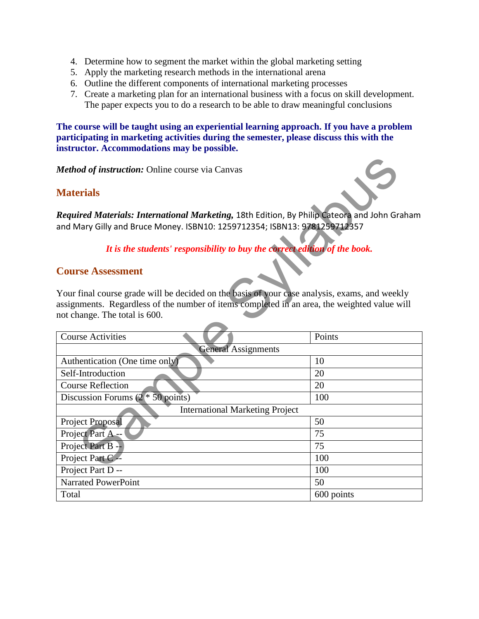- 4. Determine how to segment the market within the global marketing setting
- 5. Apply the marketing research methods in the international arena
- 6. Outline the different components of international marketing processes
- 7. Create a marketing plan for an international business with a focus on skill development. The paper expects you to do a research to be able to draw meaningful conclusions

**The course will be taught using an experiential learning approach. If you have a problem participating in marketing activities during the semester, please discuss this with the instructor. Accommodations may be possible.**

#### **Materials**



#### **Course Assessment**

| <b>Method of instruction: Online course via Canvas</b>                                                                                                                                                                         |            |  |  |  |
|--------------------------------------------------------------------------------------------------------------------------------------------------------------------------------------------------------------------------------|------------|--|--|--|
| <b>Materials</b>                                                                                                                                                                                                               |            |  |  |  |
| Required Materials: International Marketing, 18th Edition, By Philip Cateora and John Graham<br>and Mary Gilly and Bruce Money. ISBN10: 1259712354; ISBN13: 9781259712357                                                      |            |  |  |  |
| It is the students' responsibility to buy the correct edition of the book.                                                                                                                                                     |            |  |  |  |
| <b>Course Assessment</b>                                                                                                                                                                                                       |            |  |  |  |
| Your final course grade will be decided on the basis of your case analysis, exams, and weekly<br>assignments. Regardless of the number of items completed in an area, the weighted value will<br>not change. The total is 600. |            |  |  |  |
| <b>Course Activities</b>                                                                                                                                                                                                       | Points     |  |  |  |
| <b>General Assignments</b>                                                                                                                                                                                                     |            |  |  |  |
| Authentication (One time only)                                                                                                                                                                                                 | 10         |  |  |  |
| Self-Introduction                                                                                                                                                                                                              | 20         |  |  |  |
| <b>Course Reflection</b>                                                                                                                                                                                                       | 20         |  |  |  |
| Discussion Forums $(2 * 50$ points)                                                                                                                                                                                            | 100        |  |  |  |
| <b>International Marketing Project</b>                                                                                                                                                                                         |            |  |  |  |
| Project Proposal                                                                                                                                                                                                               | 50         |  |  |  |
| Project Part A--                                                                                                                                                                                                               | 75         |  |  |  |
| Project Part B -                                                                                                                                                                                                               | 75         |  |  |  |
| Project Part C --                                                                                                                                                                                                              | 100        |  |  |  |
| Project Part D --                                                                                                                                                                                                              | 100        |  |  |  |
| <b>Narrated PowerPoint</b>                                                                                                                                                                                                     | 50         |  |  |  |
| Total                                                                                                                                                                                                                          | 600 points |  |  |  |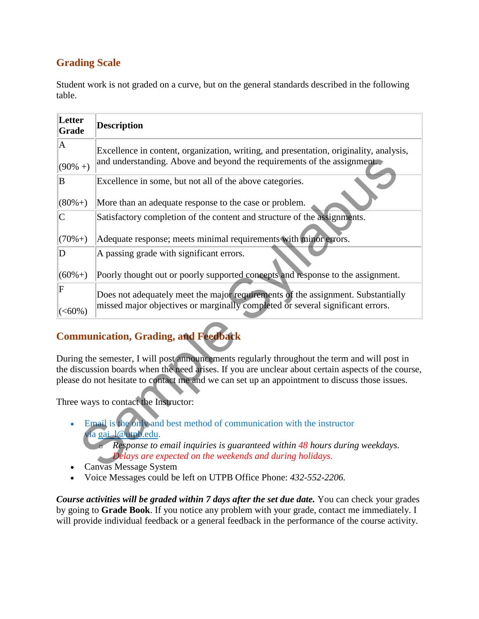#### **Grading Scale**

Student work is not graded on a curve, but on the general standards described in the following table.

| Letter<br>Grade         | <b>Description</b>                                                                                                                                                                                                                                                                                     |
|-------------------------|--------------------------------------------------------------------------------------------------------------------------------------------------------------------------------------------------------------------------------------------------------------------------------------------------------|
| $\mathbf{A}$            | Excellence in content, organization, writing, and presentation, originality, analysis,                                                                                                                                                                                                                 |
| $(90\% + )$             | and understanding. Above and beyond the requirements of the assignment.                                                                                                                                                                                                                                |
| B                       | Excellence in some, but not all of the above categories.                                                                                                                                                                                                                                               |
| $(80\% + )$             | More than an adequate response to the case or problem.                                                                                                                                                                                                                                                 |
| $\overline{C}$          | Satisfactory completion of the content and structure of the assignments.                                                                                                                                                                                                                               |
| $(70\% + )$             | Adequate response; meets minimal requirements with minor errors.                                                                                                                                                                                                                                       |
| D                       | A passing grade with significant errors.                                                                                                                                                                                                                                                               |
| $(60\% + )$             | Poorly thought out or poorly supported concepts and response to the assignment.                                                                                                                                                                                                                        |
| $\overline{\mathrm{F}}$ | Does not adequately meet the major requirements of the assignment. Substantially                                                                                                                                                                                                                       |
| $ (-60\%)$              | missed major objectives or marginally completed or several significant errors.                                                                                                                                                                                                                         |
|                         | <b>Communication, Grading, and Feedback</b>                                                                                                                                                                                                                                                            |
|                         | During the semester, I will post announcements regularly throughout the term and will post in<br>the discussion boards when the need arises. If you are unclear about certain aspects of the course,<br>please do not hesitate to contact me and we can set up an appointment to discuss those issues. |
|                         | Three ways to contact the Instructor:                                                                                                                                                                                                                                                                  |
|                         | Email is the only and best method of communication with the instructor<br>via gai 1@utpb.edu.<br>Response to email inquiries is guaranteed within 48 hours during weekdays.<br>Delays are expected on the weekends and during holidays.<br>Canvas Message System                                       |

### **Communication, Grading, and Feedback**

- Canvas Message System
- Voice Messages could be left on UTPB Office Phone: *432-552-2206.*

*Course activities will be graded within 7 days after the set due date.* You can check your grades by going to **Grade Book**. If you notice any problem with your grade, contact me immediately. I will provide individual feedback or a general feedback in the performance of the course activity.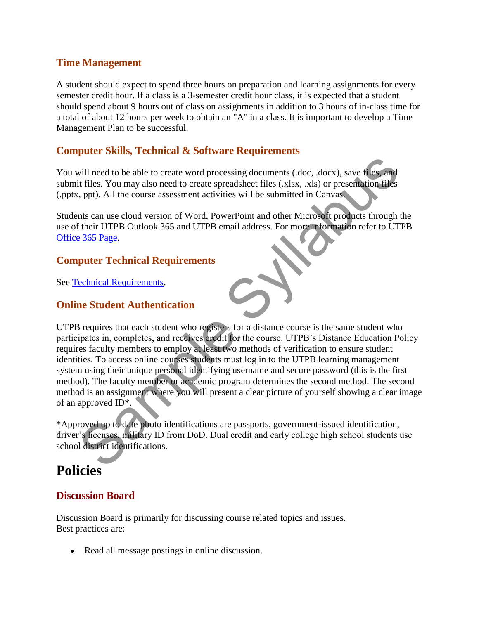#### **Time Management**

A student should expect to spend three hours on preparation and learning assignments for every semester credit hour. If a class is a 3-semester credit hour class, it is expected that a student should spend about 9 hours out of class on assignments in addition to 3 hours of in-class time for a total of about 12 hours per week to obtain an "A" in a class. It is important to develop a Time Management Plan to be successful.

#### **Computer Skills, Technical & Software Requirements**

You will need to be able to create word processing documents (.doc, .docx), save files, and submit files. You may also need to create spreadsheet files (.xlsx, .xls) or presentation files (.pptx, ppt). All the course assessment activities will be submitted in Canvas.

Students can use cloud version of Word, PowerPoint and other Microsoft products through the use of their UTPB Outlook 365 and UTPB email address. For more information refer to UTPB Office 365 Page.

#### **Computer Technical Requirements**

See Technical Requirements.

#### **Online Student Authentication**

UTPB requires that each student who registers for a distance course is the same student who participates in, completes, and receives credit for the course. UTPB's Distance Education Policy requires faculty members to employ at least two methods of verification to ensure student identities. To access online courses students must log in to the UTPB learning management system using their unique personal identifying username and secure password (this is the first method). The faculty member or academic program determines the second method. The second method is an assignment where you will present a clear picture of yourself showing a clear image of an approved ID\*. vill need to be able to create word processing documents (doc, docx), save files and<br>it files. You may also need to create spreadsheet files (x,slx, ,x,is) or presentation files<br>is, ppt). All the course assessment activiti

\*Approved up to date photo identifications are passports, government-issued identification, driver's licenses, military ID from DoD. Dual credit and early college high school students use school district identifications.

# **Policies**

#### **Discussion Board**

Discussion Board is primarily for discussing course related topics and issues. Best practices are:

Read all message postings in online discussion.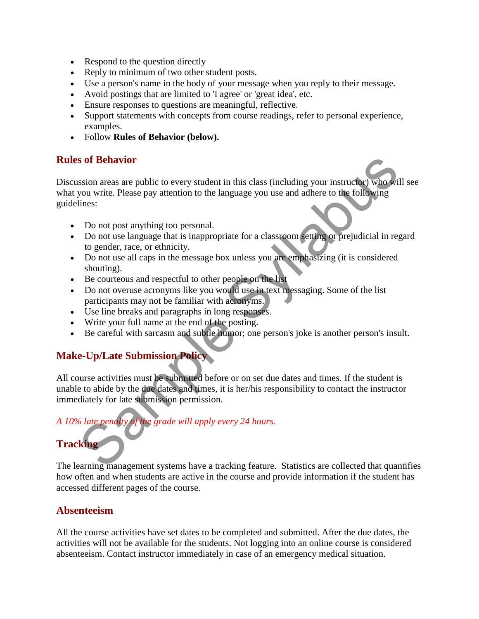- Respond to the question directly
- Reply to minimum of two other student posts.
- Use a person's name in the body of your message when you reply to their message.
- Avoid postings that are limited to 'I agree' or 'great idea', etc.
- Ensure responses to questions are meaningful, reflective.
- Support statements with concepts from course readings, refer to personal experience, examples.
- Follow **Rules of Behavior (below).**

#### **Rules of Behavior**

Discussion areas are public to every student in this class (including your instructor) who will see what you write. Please pay attention to the language you use and adhere to the following guidelines: **Solution** Solution area are public to every student in this class (including your instructed) who wis<br>you write. Please pay attention to the language you use and adhere to the following<br>times:<br>Do not post anything too pe

- Do not post anything too personal.
- Do not use language that is inappropriate for a classroom setting or prejudicial in regard to gender, race, or ethnicity.
- Do not use all caps in the message box unless you are emphasizing (it is considered shouting).
- Be courteous and respectful to other people on the list
- Do not overuse acronyms like you would use in text messaging. Some of the list participants may not be familiar with acronyms.
- Use line breaks and paragraphs in long responses.
- Write your full name at the end of the posting.
- Be careful with sarcasm and subtle humor; one person's joke is another person's insult.

#### **Make-Up/Late Submission Policy**

All course activities must be submitted before or on set due dates and times. If the student is unable to abide by the due dates and times, it is her/his responsibility to contact the instructor immediately for late submission permission.

#### *A 10% late penalty of the grade will apply every 24 hours.*

### **Tracking**

The learning management systems have a tracking feature. Statistics are collected that quantifies how often and when students are active in the course and provide information if the student has accessed different pages of the course.

#### **Absenteeism**

All the course activities have set dates to be completed and submitted. After the due dates, the activities will not be available for the students. Not logging into an online course is considered absenteeism. Contact instructor immediately in case of an emergency medical situation.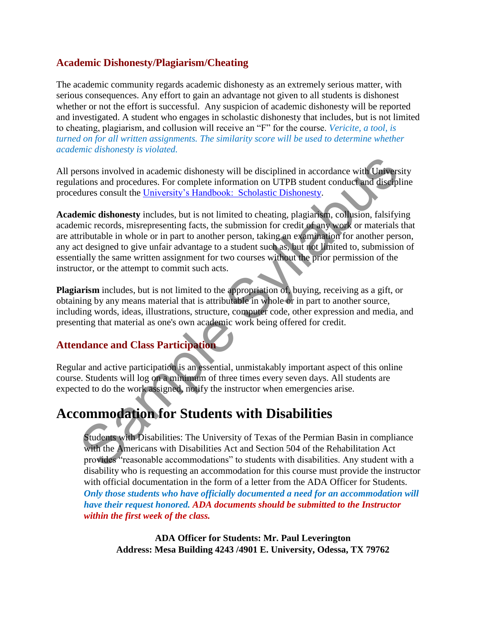#### **Academic Dishonesty/Plagiarism/Cheating**

The academic community regards academic dishonesty as an extremely serious matter, with serious consequences. Any effort to gain an advantage not given to all students is dishonest whether or not the effort is successful. Any suspicion of academic dishonesty will be reported and investigated. A student who engages in scholastic dishonesty that includes, but is not limited to cheating, plagiarism, and collusion will receive an "F" for the course. *Vericite, a tool, is turned on for all written assignments. The similarity score will be used to determine whether academic dishonesty is violated.* 

All persons involved in academic dishonesty will be disciplined in accordance with University regulations and procedures. For complete information on UTPB student conduct and discipline procedures consult the University's Handbook: Scholastic Dishonesty.

**Academic dishonesty** includes, but is not limited to cheating, plagiarism, collusion, falsifying academic records, misrepresenting facts, the submission for credit of any work or materials that are attributable in whole or in part to another person, taking an examination for another person, any act designed to give unfair advantage to a student such as, but not limited to, submission of essentially the same written assignment for two courses without the prior permission of the instructor, or the attempt to commit such acts. ersons involved in academic dishonesty will be disciplined in accordance with Universe<br>titions and procedures. For complete information on UTPB student conduct and discipl<br>dures consult the University's Handbook: Scholasti

**Plagiarism** includes, but is not limited to the appropriation of, buying, receiving as a gift, or obtaining by any means material that is attributable in whole or in part to another source, including words, ideas, illustrations, structure, computer code, other expression and media, and presenting that material as one's own academic work being offered for credit.

#### **Attendance and Class Participation**

Regular and active participation is an essential, unmistakably important aspect of this online course. Students will log on a minimum of three times every seven days. All students are expected to do the work assigned, notify the instructor when emergencies arise.

# **Accommodation for Students with Disabilities**

Students with Disabilities: The University of Texas of the Permian Basin in compliance with the Americans with Disabilities Act and Section 504 of the Rehabilitation Act provides "reasonable accommodations" to students with disabilities. Any student with a disability who is requesting an accommodation for this course must provide the instructor with official documentation in the form of a letter from the ADA Officer for Students. *Only those students who have officially documented a need for an accommodation will have their request honored. ADA documents should be submitted to the Instructor within the first week of the class.* 

**ADA Officer for Students: Mr. Paul Leverington Address: Mesa Building 4243 /4901 E. University, Odessa, TX 79762**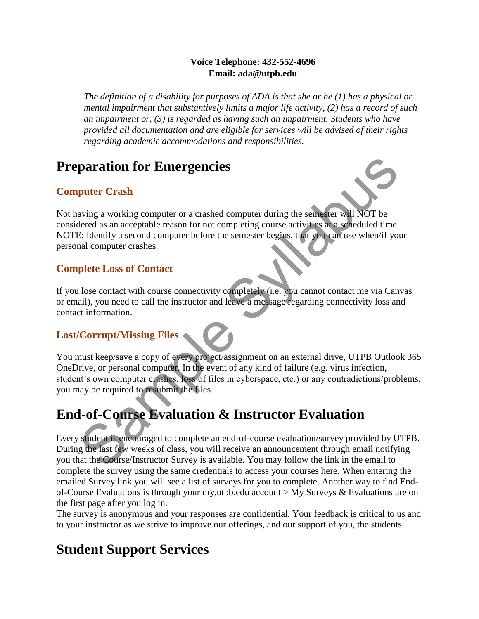#### **Voice Telephone: 432-552-4696 Email: ada@utpb.edu**

*The definition of a disability for purposes of ADA is that she or he (1) has a physical or mental impairment that substantively limits a major life activity, (2) has a record of such an impairment or, (3) is regarded as having such an impairment. Students who have provided all documentation and are eligible for services will be advised of their rights regarding academic accommodations and responsibilities.* 

# **Preparation for Emergencies**

### **Computer Crash**

Not having a working computer or a crashed computer during the semester will NOT be considered as an acceptable reason for not completing course activities at a scheduled time. NOTE: Identify a second computer before the semester begins, that you can use when/if your personal computer crashes. **puter Crash**<br> **puter Crash**<br>
aving a working computer or a crashed computer during the semisser will NOT be<br>
dered as a nacceptable reason for not completing course activities at a soleculate time.<br>
E: leantify a second c

#### **Complete Loss of Contact**

If you lose contact with course connectivity completely (i.e. you cannot contact me via Canvas or email), you need to call the instructor and leave a message regarding connectivity loss and contact information.

#### **Lost/Corrupt/Missing Files**

You must keep/save a copy of every project/assignment on an external drive, UTPB Outlook 365 OneDrive, or personal computer. In the event of any kind of failure (e.g. virus infection, student's own computer crashes, loss of files in cyberspace, etc.) or any contradictions/problems, you may be required to resubmit the files.

# **End-of-Course Evaluation & Instructor Evaluation**

Every student is encouraged to complete an end-of-course evaluation/survey provided by UTPB. During the last few weeks of class, you will receive an announcement through email notifying you that the Course/Instructor Survey is available. You may follow the link in the email to complete the survey using the same credentials to access your courses here. When entering the emailed Survey link you will see a list of surveys for you to complete. Another way to find Endof-Course Evaluations is through your my.utpb.edu account > My Surveys & Evaluations are on the first page after you log in.

The survey is anonymous and your responses are confidential. Your feedback is critical to us and to your instructor as we strive to improve our offerings, and our support of you, the students.

# **Student Support Services**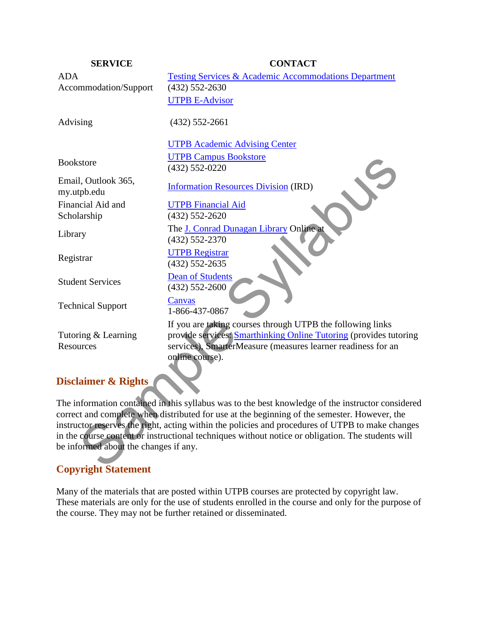| <b>SERVICE</b>                                                                                    | <b>CONTACT</b>                                                                                                                                                                                                     |  |  |  |
|---------------------------------------------------------------------------------------------------|--------------------------------------------------------------------------------------------------------------------------------------------------------------------------------------------------------------------|--|--|--|
| <b>ADA</b>                                                                                        | <b>Testing Services &amp; Academic Accommodations Department</b>                                                                                                                                                   |  |  |  |
| Accommodation/Support                                                                             | $(432) 552 - 2630$                                                                                                                                                                                                 |  |  |  |
|                                                                                                   | <b>UTPB E-Advisor</b>                                                                                                                                                                                              |  |  |  |
| Advising                                                                                          | $(432)$ 552-2661                                                                                                                                                                                                   |  |  |  |
|                                                                                                   | <b>UTPB Academic Advising Center</b>                                                                                                                                                                               |  |  |  |
| <b>Bookstore</b>                                                                                  | <b>UTPB Campus Bookstore</b><br>$(432) 552 - 0220$                                                                                                                                                                 |  |  |  |
| Email, Outlook 365,<br>my.utpb.edu                                                                | <b>Information Resources Division (IRD)</b>                                                                                                                                                                        |  |  |  |
| Financial Aid and<br>Scholarship                                                                  | <b>UTPB</b> Financial Aid<br>$(432)$ 552-2620                                                                                                                                                                      |  |  |  |
| Library                                                                                           | The J. Conrad Dunagan Library Online at<br>$(432) 552 - 2370$                                                                                                                                                      |  |  |  |
| Registrar                                                                                         | <b>UTPB Registrar</b><br>$(432) 552 - 2635$                                                                                                                                                                        |  |  |  |
| <b>Student Services</b>                                                                           | <b>Dean of Students</b><br>$(432) 552 - 2600$                                                                                                                                                                      |  |  |  |
| <b>Technical Support</b>                                                                          | Canvas<br>1-866-437-0867                                                                                                                                                                                           |  |  |  |
| Tutoring & Learning<br>Resources                                                                  | If you are taking courses through UTPB the following links<br>provide services: Smarthinking Online Tutoring (provides tutoring<br>services), SmarterMeasure (measures learner readiness for an<br>online course). |  |  |  |
| <b>Disclaimer &amp; Rights</b>                                                                    |                                                                                                                                                                                                                    |  |  |  |
|                                                                                                   | The information contained in this syllabus was to the best knowledge of the instructor considered                                                                                                                  |  |  |  |
|                                                                                                   | correct and complete when distributed for use at the beginning of the semester. However, the                                                                                                                       |  |  |  |
|                                                                                                   | instructor reserves the right, acting within the policies and procedures of UTPB to make changes                                                                                                                   |  |  |  |
| in the course content or instructional techniques without notice or obligation. The students will |                                                                                                                                                                                                                    |  |  |  |
| be informed about the changes if any.                                                             |                                                                                                                                                                                                                    |  |  |  |
| Convright Statement                                                                               |                                                                                                                                                                                                                    |  |  |  |

#### **Disclaimer & Rights**

#### **Copyright Statement**

Many of the materials that are posted within UTPB courses are protected by copyright law. These materials are only for the use of students enrolled in the course and only for the purpose of the course. They may not be further retained or disseminated.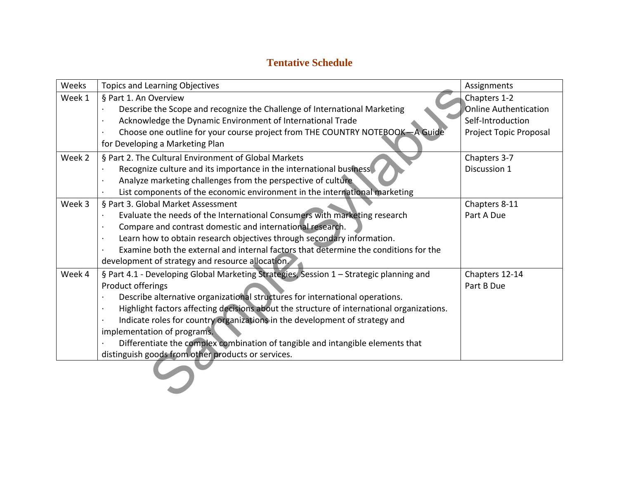### **Tentative Schedule**

| Weeks  | <b>Topics and Learning Objectives</b>                                                     | Assignments                  |  |  |
|--------|-------------------------------------------------------------------------------------------|------------------------------|--|--|
| Week 1 | § Part 1. An Overview                                                                     | Chapters 1-2                 |  |  |
|        | Describe the Scope and recognize the Challenge of International Marketing                 | <b>Online Authentication</b> |  |  |
|        | Acknowledge the Dynamic Environment of International Trade                                | Self-Introduction            |  |  |
|        | Choose one outline for your course project from THE COUNTRY NOTEBOOK-A Guide              | Project Topic Proposal       |  |  |
|        | for Developing a Marketing Plan                                                           |                              |  |  |
| Week 2 | § Part 2. The Cultural Environment of Global Markets                                      | Chapters 3-7                 |  |  |
|        | Recognize culture and its importance in the international business                        | Discussion 1                 |  |  |
|        | Analyze marketing challenges from the perspective of culture                              |                              |  |  |
|        | List components of the economic environment in the international marketing                |                              |  |  |
| Week 3 | § Part 3. Global Market Assessment                                                        | Chapters 8-11                |  |  |
|        | Evaluate the needs of the International Consumers with marketing research                 | Part A Due                   |  |  |
|        | Compare and contrast domestic and international research.                                 |                              |  |  |
|        | Learn how to obtain research objectives through secondary information.                    |                              |  |  |
|        | Examine both the external and internal factors that determine the conditions for the      |                              |  |  |
|        | development of strategy and resource allocation.                                          |                              |  |  |
| Week 4 | § Part 4.1 - Developing Global Marketing Strategies, Session 1 - Strategic planning and   | Chapters 12-14               |  |  |
|        | Product offerings                                                                         | Part B Due                   |  |  |
|        | Describe alternative organizational structures for international operations.              |                              |  |  |
|        | Highlight factors affecting decisions about the structure of international organizations. |                              |  |  |
|        | Indicate roles for country organizations in the development of strategy and               |                              |  |  |
|        | implementation of programs.                                                               |                              |  |  |
|        | Differentiate the complex combination of tangible and intangible elements that            |                              |  |  |
|        | distinguish goods from other products or services.                                        |                              |  |  |
|        |                                                                                           |                              |  |  |
|        |                                                                                           |                              |  |  |
|        |                                                                                           |                              |  |  |